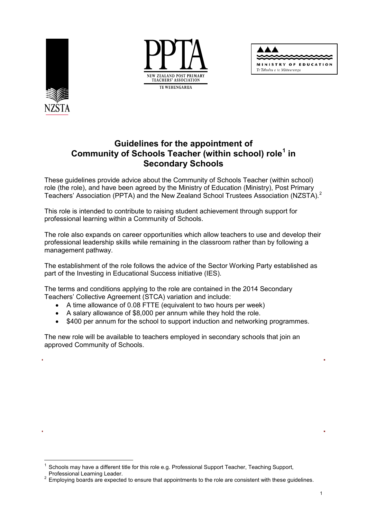





# **Guidelines for the appointment of Community of Schools Teacher (within school) role[1](#page-0-0) in Secondary Schools**

These guidelines provide advice about the Community of Schools Teacher (within school) role (the role), and have been agreed by the Ministry of Education (Ministry), Post Primary Teachers' Association (PPTA) and the New Zealand School Trustees Association (NZSTA).<sup>[2](#page-0-1)</sup>

This role is intended to contribute to raising student achievement through support for professional learning within a Community of Schools.

The role also expands on career opportunities which allow teachers to use and develop their professional leadership skills while remaining in the classroom rather than by following a management pathway.

The establishment of the role follows the advice of the Sector Working Party established as part of the Investing in Educational Success initiative (IES).

The terms and conditions applying to the role are contained in the 2014 Secondary Teachers' Collective Agreement (STCA) variation and include:

- A time allowance of 0.08 FTTE (equivalent to two hours per week)
- A salary allowance of \$8,000 per annum while they hold the role.
- \$400 per annum for the school to support induction and networking programmes.

The new role will be available to teachers employed in secondary schools that join an approved Community of Schools.

<span id="page-0-0"></span><sup>1</sup> Schools may have a different title for this role e.g. Professional Support Teacher, Teaching Support, Professional Learning Leader.

<span id="page-0-1"></span>Professional Learning Leader.<br><sup>2</sup> Employing boards are expected to ensure that appointments to the role are consistent with these guidelines.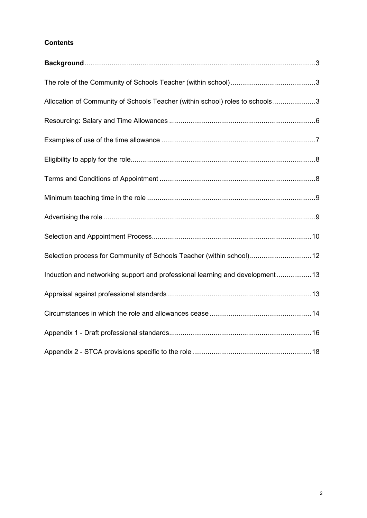## **Contents**

| Allocation of Community of Schools Teacher (within school) roles to schools3   |  |
|--------------------------------------------------------------------------------|--|
|                                                                                |  |
|                                                                                |  |
|                                                                                |  |
|                                                                                |  |
|                                                                                |  |
|                                                                                |  |
|                                                                                |  |
| Selection process for Community of Schools Teacher (within school)12           |  |
| Induction and networking support and professional learning and development  13 |  |
|                                                                                |  |
|                                                                                |  |
|                                                                                |  |
|                                                                                |  |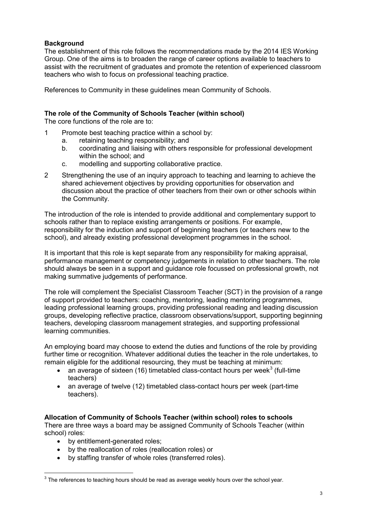## <span id="page-2-0"></span>**Background**

The establishment of this role follows the recommendations made by the 2014 IES Working Group. One of the aims is to broaden the range of career options available to teachers to assist with the recruitment of graduates and promote the retention of experienced classroom teachers who wish to focus on professional teaching practice.

References to Community in these guidelines mean Community of Schools.

## <span id="page-2-1"></span>**The role of the Community of Schools Teacher (within school)**

The core functions of the role are to:

- 1 Promote best teaching practice within a school by:
	- a. retaining teaching responsibility; and
	- b. coordinating and liaising with others responsible for professional development within the school; and
	- c. modelling and supporting collaborative practice.
- 2 Strengthening the use of an inquiry approach to teaching and learning to achieve the shared achievement objectives by providing opportunities for observation and discussion about the practice of other teachers from their own or other schools within the Community.

The introduction of the role is intended to provide additional and complementary support to schools rather than to replace existing arrangements or positions. For example, responsibility for the induction and support of beginning teachers (or teachers new to the school), and already existing professional development programmes in the school.

It is important that this role is kept separate from any responsibility for making appraisal, performance management or competency judgements in relation to other teachers. The role should always be seen in a support and guidance role focussed on professional growth, not making summative judgements of performance.

The role will complement the Specialist Classroom Teacher (SCT) in the provision of a range of support provided to teachers: coaching, mentoring, leading mentoring programmes, leading professional learning groups, providing professional reading and leading discussion groups, developing reflective practice, classroom observations/support, supporting beginning teachers, developing classroom management strategies, and supporting professional learning communities.

An employing board may choose to extend the duties and functions of the role by providing further time or recognition. Whatever additional duties the teacher in the role undertakes, to remain eligible for the additional resourcing, they must be teaching at minimum:

- an average of sixteen (16) timetabled class-contact hours per week<sup>[3](#page-2-3)</sup> (full-time teachers)
- an average of twelve (12) timetabled class-contact hours per week (part-time teachers).

#### <span id="page-2-2"></span>**Allocation of Community of Schools Teacher (within school) roles to schools**

There are three ways a board may be assigned Community of Schools Teacher (within school) roles:

• by entitlement-generated roles;

-

- by the reallocation of roles (reallocation roles) or
- by staffing transfer of whole roles (transferred roles).

<span id="page-2-3"></span> $3$  The references to teaching hours should be read as average weekly hours over the school year.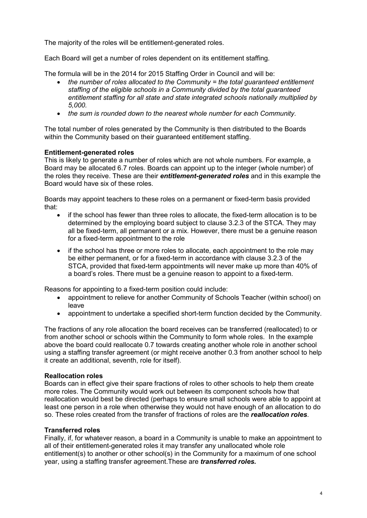The majority of the roles will be entitlement-generated roles.

Each Board will get a number of roles dependent on its entitlement staffing.

The formula will be in the 2014 for 2015 Staffing Order in Council and will be:

- *the number of roles allocated to the Community = the total guaranteed entitlement staffing of the eligible schools in a Community divided by the total guaranteed entitlement staffing for all state and state integrated schools nationally multiplied by 5,000.*
- *the sum is rounded down to the nearest whole number for each Community.*

The total number of roles generated by the Community is then distributed to the Boards within the Community based on their guaranteed entitlement staffing.

#### **Entitlement-generated roles**

This is likely to generate a number of roles which are not whole numbers. For example, a Board may be allocated 6.7 roles. Boards can appoint up to the integer (whole number) of the roles they receive. These are their *entitlement-generated roles* and in this example the Board would have six of these roles.

Boards may appoint teachers to these roles on a permanent or fixed-term basis provided that:

- if the school has fewer than three roles to allocate, the fixed-term allocation is to be determined by the employing board subject to clause 3.2.3 of the STCA. They may all be fixed-term, all permanent or a mix. However, there must be a genuine reason for a fixed-term appointment to the role
- if the school has three or more roles to allocate, each appointment to the role may be either permanent, or for a fixed-term in accordance with clause 3.2.3 of the STCA, provided that fixed-term appointments will never make up more than 40% of a board's roles. There must be a genuine reason to appoint to a fixed-term.

Reasons for appointing to a fixed-term position could include:

- appointment to relieve for another Community of Schools Teacher (within school) on leave
- appointment to undertake a specified short-term function decided by the Community.

The fractions of any role allocation the board receives can be transferred (reallocated) to or from another school or schools within the Community to form whole roles. In the example above the board could reallocate 0.7 towards creating another whole role in another school using a staffing transfer agreement (or might receive another 0.3 from another school to help it create an additional, seventh, role for itself).

#### **Reallocation roles**

Boards can in effect give their spare fractions of roles to other schools to help them create more roles. The Community would work out between its component schools how that reallocation would best be directed (perhaps to ensure small schools were able to appoint at least one person in a role when otherwise they would not have enough of an allocation to do so. These roles created from the transfer of fractions of roles are the *reallocation roles*.

#### **Transferred roles**

Finally, if, for whatever reason, a board in a Community is unable to make an appointment to all of their entitlement-generated roles it may transfer any unallocated whole role entitlement(s) to another or other school(s) in the Community for a maximum of one school year, using a staffing transfer agreement.These are *transferred roles.*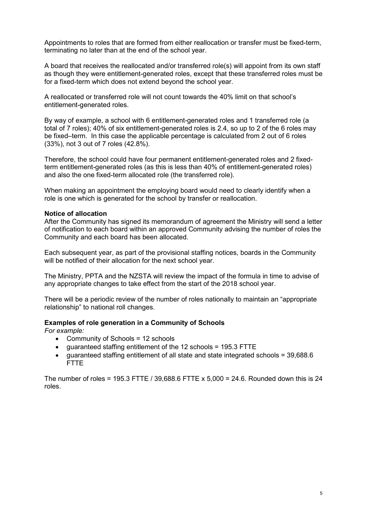Appointments to roles that are formed from either reallocation or transfer must be fixed-term, terminating no later than at the end of the school year.

A board that receives the reallocated and/or transferred role(s) will appoint from its own staff as though they were entitlement-generated roles, except that these transferred roles must be for a fixed-term which does not extend beyond the school year.

A reallocated or transferred role will not count towards the 40% limit on that school's entitlement-generated roles.

By way of example, a school with 6 entitlement-generated roles and 1 transferred role (a total of 7 roles); 40% of six entitlement-generated roles is 2.4, so up to 2 of the 6 roles may be fixed–term. In this case the applicable percentage is calculated from 2 out of 6 roles (33%), not 3 out of 7 roles (42.8%).

Therefore, the school could have four permanent entitlement-generated roles and 2 fixedterm entitlement-generated roles (as this is less than 40% of entitlement-generated roles) and also the one fixed-term allocated role (the transferred role).

When making an appointment the employing board would need to clearly identify when a role is one which is generated for the school by transfer or reallocation.

#### **Notice of allocation**

After the Community has signed its memorandum of agreement the Ministry will send a letter of notification to each board within an approved Community advising the number of roles the Community and each board has been allocated.

Each subsequent year, as part of the provisional staffing notices, boards in the Community will be notified of their allocation for the next school year.

The Ministry, PPTA and the NZSTA will review the impact of the formula in time to advise of any appropriate changes to take effect from the start of the 2018 school year.

There will be a periodic review of the number of roles nationally to maintain an "appropriate relationship" to national roll changes.

#### **Examples of role generation in a Community of Schools**

*For example:*

- Community of Schools = 12 schools
- guaranteed staffing entitlement of the 12 schools = 195.3 FTTE
- guaranteed staffing entitlement of all state and state integrated schools = 39,688.6 FTTE

The number of roles = 195.3 FTTE / 39,688.6 FTTE x 5,000 = 24.6. Rounded down this is 24 roles.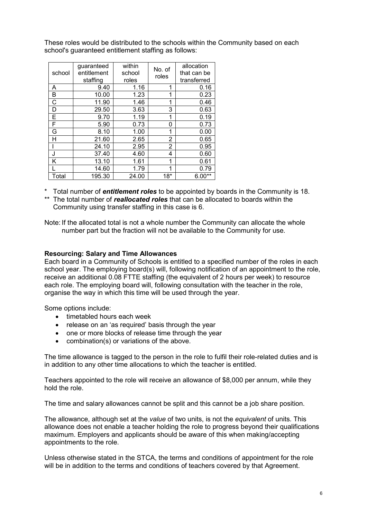These roles would be distributed to the schools within the Community based on each school's guaranteed entitlement staffing as follows:

|        | guaranteed  | within | No. of | allocation  |
|--------|-------------|--------|--------|-------------|
| school | entitlement | school | roles  | that can be |
|        | staffing    | roles  |        | transferred |
| A      | 9.40        | 1.16   | 1      | 0.16        |
| B      | 10.00       | 1.23   | 1      | 0.23        |
| C      | 11.90       | 1.46   | 1      | 0.46        |
| D      | 29.50       | 3.63   | 3      | 0.63        |
| F      | 9.70        | 1.19   | 1      | 0.19        |
| F      | 5.90        | 0.73   | 0      | 0.73        |
| G      | 8.10        | 1.00   | 1      | 0.00        |
| Н      | 21.60       | 2.65   | 2      | 0.65        |
|        | 24.10       | 2.95   | 2      | 0.95        |
| ا.     | 37.40       | 4.60   | 4      | 0.60        |
| κ      | 13.10       | 1.61   | 1      | 0.61        |
|        | 14.60       | 1.79   |        | 0.79        |
| Total  | 195.30      | 24.00  | $18*$  | $6.00**$    |

\* Total number of *entitlement roles* to be appointed by boards in the Community is 18.

\*\* The total number of *reallocated roles* that can be allocated to boards within the Community using transfer staffing in this case is 6.

Note: If the allocated total is not a whole number the Community can allocate the whole number part but the fraction will not be available to the Community for use.

#### <span id="page-5-0"></span>**Resourcing: Salary and Time Allowances**

Each board in a Community of Schools is entitled to a specified number of the roles in each school year. The employing board(s) will, following notification of an appointment to the role, receive an additional 0.08 FTTE staffing (the equivalent of 2 hours per week) to resource each role. The employing board will, following consultation with the teacher in the role, organise the way in which this time will be used through the year.

Some options include:

- timetabled hours each week
- release on an 'as required' basis through the year
- one or more blocks of release time through the year
- combination(s) or variations of the above.

The time allowance is tagged to the person in the role to fulfil their role-related duties and is in addition to any other time allocations to which the teacher is entitled.

Teachers appointed to the role will receive an allowance of \$8,000 per annum, while they hold the role.

The time and salary allowances cannot be split and this cannot be a job share position.

The allowance, although set at the *value* of two units, is not the *equivalent* of units. This allowance does not enable a teacher holding the role to progress beyond their qualifications maximum. Employers and applicants should be aware of this when making/accepting appointments to the role.

Unless otherwise stated in the STCA, the terms and conditions of appointment for the role will be in addition to the terms and conditions of teachers covered by that Agreement.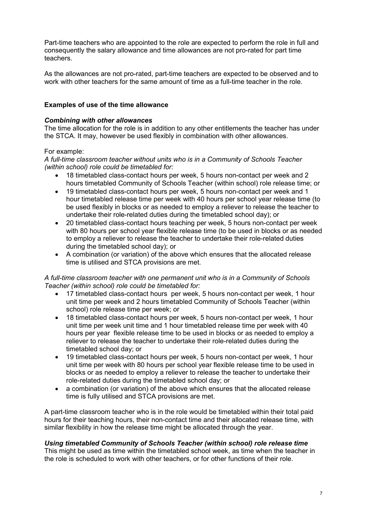Part-time teachers who are appointed to the role are expected to perform the role in full and consequently the salary allowance and time allowances are not pro-rated for part time teachers.

As the allowances are not pro-rated, part-time teachers are expected to be observed and to work with other teachers for the same amount of time as a full-time teacher in the role.

## <span id="page-6-0"></span>**Examples of use of the time allowance**

#### *Combining with other allowances*

The time allocation for the role is in addition to any other entitlements the teacher has under the STCA. It may, however be used flexibly in combination with other allowances.

## For example:

#### *A full-time classroom teacher without units who is in a Community of Schools Teacher (within school) role could be timetabled for:*

- 18 timetabled class-contact hours per week, 5 hours non-contact per week and 2 hours timetabled Community of Schools Teacher (within school) role release time; or
- 19 timetabled class-contact hours per week, 5 hours non-contact per week and 1 hour timetabled release time per week with 40 hours per school year release time (to be used flexibly in blocks or as needed to employ a reliever to release the teacher to undertake their role-related duties during the timetabled school day); or
- 20 timetabled class-contact hours teaching per week, 5 hours non-contact per week with 80 hours per school year flexible release time (to be used in blocks or as needed to employ a reliever to release the teacher to undertake their role-related duties during the timetabled school day); or
- A combination (or variation) of the above which ensures that the allocated release time is utilised and STCA provisions are met.

#### *A full-time classroom teacher with one permanent unit who is in a Community of Schools Teacher (within school) role could be timetabled for:*

- 17 timetabled class-contact hours per week, 5 hours non-contact per week, 1 hour unit time per week and 2 hours timetabled Community of Schools Teacher (within school) role release time per week; or
- 18 timetabled class-contact hours per week, 5 hours non-contact per week, 1 hour unit time per week unit time and 1 hour timetabled release time per week with 40 hours per year flexible release time to be used in blocks or as needed to employ a reliever to release the teacher to undertake their role-related duties during the timetabled school day; or
- 19 timetabled class-contact hours per week, 5 hours non-contact per week, 1 hour unit time per week with 80 hours per school year flexible release time to be used in blocks or as needed to employ a reliever to release the teacher to undertake their role-related duties during the timetabled school day; or
- a combination (or variation) of the above which ensures that the allocated release time is fully utilised and STCA provisions are met.

A part-time classroom teacher who is in the role would be timetabled within their total paid hours for their teaching hours, their non-contact time and their allocated release time, with similar flexibility in how the release time might be allocated through the year.

#### *Using timetabled Community of Schools Teacher (within school) role release time*

This might be used as time within the timetabled school week, as time when the teacher in the role is scheduled to work with other teachers, or for other functions of their role.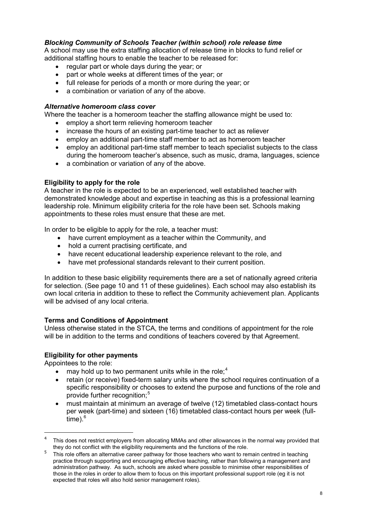## *Blocking Community of Schools Teacher (within school) role release time*

A school may use the extra staffing allocation of release time in blocks to fund relief or additional staffing hours to enable the teacher to be released for:

- regular part or whole days during the year; or
- part or whole weeks at different times of the year; or
- full release for periods of a month or more during the year; or
- a combination or variation of any of the above.

#### *Alternative homeroom class cover*

Where the teacher is a homeroom teacher the staffing allowance might be used to:

- employ a short term relieving homeroom teacher
- increase the hours of an existing part-time teacher to act as reliever
- employ an additional part-time staff member to act as homeroom teacher
- employ an additional part-time staff member to teach specialist subjects to the class during the homeroom teacher's absence, such as music, drama, languages, science
- a combination or variation of any of the above.

#### <span id="page-7-0"></span>**Eligibility to apply for the role**

A teacher in the role is expected to be an experienced, well established teacher with demonstrated knowledge about and expertise in teaching as this is a professional learning leadership role. Minimum eligibility criteria for the role have been set. Schools making appointments to these roles must ensure that these are met.

In order to be eligible to apply for the role, a teacher must:

- have current employment as a teacher within the Community, and
- hold a current practising certificate, and
- have recent educational leadership experience relevant to the role, and
- have met professional standards relevant to their current position.

In addition to these basic eligibility requirements there are a set of nationally agreed criteria for selection. (See page 10 and 11 of these guidelines). Each school may also establish its own local criteria in addition to these to reflect the Community achievement plan. Applicants will be advised of any local criteria.

#### <span id="page-7-1"></span>**Terms and Conditions of Appointment**

Unless otherwise stated in the STCA, the terms and conditions of appointment for the role will be in addition to the terms and conditions of teachers covered by that Agreement.

#### **Eligibility for other payments**

Appointees to the role:

-

- may hold up to two permanent units while in the role;<sup>[4](#page-7-2)</sup>
- retain (or receive) fixed-term salary units where the school requires continuation of a specific responsibility or chooses to extend the purpose and functions of the role and provide further recognition:<sup>[5](#page-7-3)</sup>
- must maintain at minimum an average of twelve (12) timetabled class-contact hours per week (part-time) and sixteen (16) timetabled class-contact hours per week (fulltime). $6$

<span id="page-7-2"></span><sup>4</sup> This does not restrict employers from allocating MMAs and other allowances in the normal way provided that they do not conflict with the eligibility requirements and the functions of the role.

<span id="page-7-4"></span><span id="page-7-3"></span>they do not conflict with the eligibility requirements and the functions of the role.<br><sup>5</sup> This role offers an alternative career pathway for those teachers who want to remain centred in teaching practice through supporting and encouraging effective teaching, rather than following a management and administration pathway. As such, schools are asked where possible to minimise other responsibilities of those in the roles in order to allow them to focus on this important professional support role (eg it is not expected that roles will also hold senior management roles).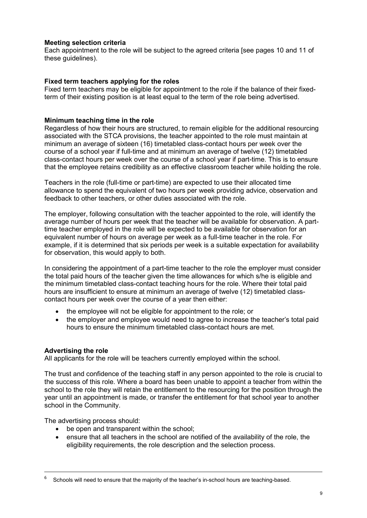#### **Meeting selection criteria**

Each appointment to the role will be subject to the agreed criteria [see pages 10 and 11 of these guidelines).

## **Fixed term teachers applying for the roles**

Fixed term teachers may be eligible for appointment to the role if the balance of their fixedterm of their existing position is at least equal to the term of the role being advertised.

## <span id="page-8-0"></span>**Minimum teaching time in the role**

Regardless of how their hours are structured, to remain eligible for the additional resourcing associated with the STCA provisions, the teacher appointed to the role must maintain at minimum an average of sixteen (16) timetabled class-contact hours per week over the course of a school year if full-time and at minimum an average of twelve (12) timetabled class-contact hours per week over the course of a school year if part-time. This is to ensure that the employee retains credibility as an effective classroom teacher while holding the role.

Teachers in the role (full-time or part-time) are expected to use their allocated time allowance to spend the equivalent of two hours per week providing advice, observation and feedback to other teachers, or other duties associated with the role.

The employer, following consultation with the teacher appointed to the role, will identify the average number of hours per week that the teacher will be available for observation. A parttime teacher employed in the role will be expected to be available for observation for an equivalent number of hours on average per week as a full-time teacher in the role. For example, if it is determined that six periods per week is a suitable expectation for availability for observation, this would apply to both.

In considering the appointment of a part-time teacher to the role the employer must consider the total paid hours of the teacher given the time allowances for which s/he is eligible and the minimum timetabled class-contact teaching hours for the role. Where their total paid hours are insufficient to ensure at minimum an average of twelve (12) timetabled classcontact hours per week over the course of a year then either:

- the employee will not be eligible for appointment to the role; or
- the employer and employee would need to agree to increase the teacher's total paid hours to ensure the minimum timetabled class-contact hours are met.

#### <span id="page-8-1"></span>**Advertising the role**

-

All applicants for the role will be teachers currently employed within the school.

The trust and confidence of the teaching staff in any person appointed to the role is crucial to the success of this role. Where a board has been unable to appoint a teacher from within the school to the role they will retain the entitlement to the resourcing for the position through the year until an appointment is made, or transfer the entitlement for that school year to another school in the Community.

The advertising process should:

- be open and transparent within the school;
- ensure that all teachers in the school are notified of the availability of the role, the eligibility requirements, the role description and the selection process.

<sup>6</sup> Schools will need to ensure that the majority of the teacher's in-school hours are teaching-based.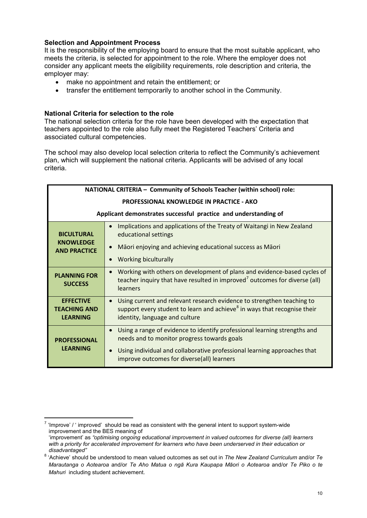## <span id="page-9-0"></span>**Selection and Appointment Process**

It is the responsibility of the employing board to ensure that the most suitable applicant, who meets the criteria, is selected for appointment to the role. Where the employer does not consider any applicant meets the eligibility requirements, role description and criteria, the employer may:

- make no appointment and retain the entitlement; or
- transfer the entitlement temporarily to another school in the Community.

## **National Criteria for selection to the role**

The national selection criteria for the role have been developed with the expectation that teachers appointed to the role also fully meet the Registered Teachers' Criteria and associated cultural competencies.

The school may also develop local selection criteria to reflect the Community's achievement plan, which will supplement the national criteria. Applicants will be advised of any local criteria.

| NATIONAL CRITERIA - Community of Schools Teacher (within school) role: |                                                                                                                                                                                                                                                                 |  |
|------------------------------------------------------------------------|-----------------------------------------------------------------------------------------------------------------------------------------------------------------------------------------------------------------------------------------------------------------|--|
| <b>PROFESSIONAL KNOWLEDGE IN PRACTICE - AKO</b>                        |                                                                                                                                                                                                                                                                 |  |
| Applicant demonstrates successful practice and understanding of        |                                                                                                                                                                                                                                                                 |  |
| <b>BICULTURAL</b><br><b>KNOWLEDGE</b><br><b>AND PRACTICE</b>           | Implications and applications of the Treaty of Waitangi in New Zealand<br>educational settings                                                                                                                                                                  |  |
|                                                                        | Māori enjoying and achieving educational success as Māori<br>Working biculturally                                                                                                                                                                               |  |
| <b>PLANNING FOR</b><br><b>SUCCESS</b>                                  | Working with others on development of plans and evidence-based cycles of<br>$\bullet$<br>teacher inquiry that have resulted in improved <sup>7</sup> outcomes for diverse (all)<br>learners                                                                     |  |
| <b>EFFECTIVE</b><br><b>TEACHING AND</b><br><b>LEARNING</b>             | Using current and relevant research evidence to strengthen teaching to<br>support every student to learn and achieve <sup>8</sup> in ways that recognise their<br>identity, language and culture                                                                |  |
| <b>PROFESSIONAL</b><br><b>LEARNING</b>                                 | Using a range of evidence to identify professional learning strengths and<br>$\bullet$<br>needs and to monitor progress towards goals<br>Using individual and collaborative professional learning approaches that<br>improve outcomes for diverse(all) learners |  |

<span id="page-9-1"></span> $7$  'Improve' / ' improved' should be read as consistent with the general intent to support system-wide improvement and the BES meaning of -

<sup>&#</sup>x27;improvement' as *"optimising ongoing educational improvement in valued outcomes for diverse (all) learners with a priority for accelerated improvement for learners who have been underserved in their education or disadvantaged"*

<span id="page-9-2"></span><sup>8</sup> 'Achieve' should be understood to mean valued outcomes as set out in *The New Zealand Curriculum* and/or *Te Marautanga o Aotearoa* and/or *Te Aho Matua o ngā Kura Kaupapa Māori o Aotearoa* and/or *Te Piko o te Mahuri* including student achievement.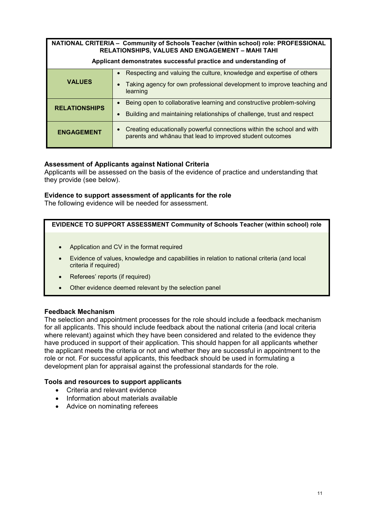| NATIONAL CRITERIA - Community of Schools Teacher (within school) role: PROFESSIONAL<br>RELATIONSHIPS, VALUES AND ENGAGEMENT - MAHI TAHI |                                                                                                                                                             |  |
|-----------------------------------------------------------------------------------------------------------------------------------------|-------------------------------------------------------------------------------------------------------------------------------------------------------------|--|
| Applicant demonstrates successful practice and understanding of                                                                         |                                                                                                                                                             |  |
| <b>VALUES</b>                                                                                                                           | Respecting and valuing the culture, knowledge and expertise of others<br>Taking agency for own professional development to improve teaching and<br>learning |  |
| <b>RELATIONSHIPS</b>                                                                                                                    | Being open to collaborative learning and constructive problem-solving<br>Building and maintaining relationships of challenge, trust and respect             |  |
| <b>ENGAGEMENT</b>                                                                                                                       | Creating educationally powerful connections within the school and with<br>parents and whanau that lead to improved student outcomes                         |  |

## **Assessment of Applicants against National Criteria**

Applicants will be assessed on the basis of the evidence of practice and understanding that they provide (see below).

#### **Evidence to support assessment of applicants for the role**

The following evidence will be needed for assessment.

#### **EVIDENCE TO SUPPORT ASSESSMENT Community of Schools Teacher (within school) role**

- Application and CV in the format required
- Evidence of values, knowledge and capabilities in relation to national criteria (and local criteria if required)
- Referees' reports (if required)
- Other evidence deemed relevant by the selection panel

#### **Feedback Mechanism**

The selection and appointment processes for the role should include a feedback mechanism for all applicants. This should include feedback about the national criteria (and local criteria where relevant) against which they have been considered and related to the evidence they have produced in support of their application. This should happen for all applicants whether the applicant meets the criteria or not and whether they are successful in appointment to the role or not. For successful applicants, this feedback should be used in formulating a development plan for appraisal against the professional standards for the role.

#### **Tools and resources to support applicants**

- Criteria and relevant evidence
- Information about materials available
- Advice on nominating referees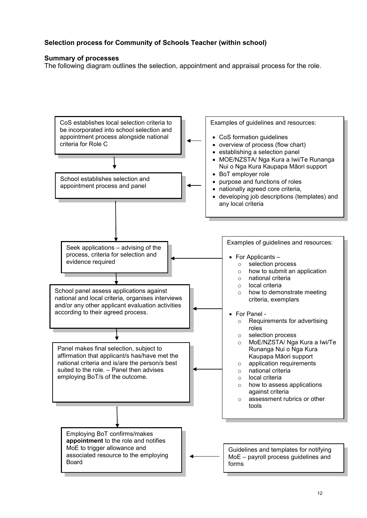## <span id="page-11-0"></span>**Selection process for Community of Schools Teacher (within school)**

#### **Summary of processes**

The following diagram outlines the selection, appointment and appraisal process for the role.

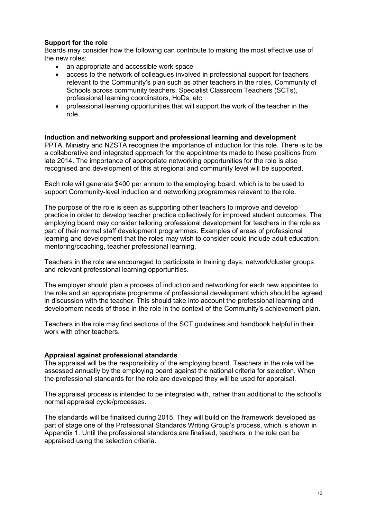#### **Support for the role**

Boards may consider how the following can contribute to making the most effective use of the new roles:

- an appropriate and accessible work space
- access to the network of colleagues involved in professional support for teachers relevant to the Community's plan such as other teachers in the roles, Community of Schools across community teachers, Specialist Classroom Teachers (SCTs), professional learning coordinators, HoDs, etc
- professional learning opportunities that will support the work of the teacher in the role.

## <span id="page-12-0"></span>**Induction and networking support and professional learning and development**

PPTA, Mini*s*try and NZSTA recognise the importance of induction for this role. There is to be a collaborative and integrated approach for the appointments made to these positions from late 2014. The importance of appropriate networking opportunities for the role is also recognised and development of this at regional and community level will be supported.

Each role will generate \$400 per annum to the employing board, which is to be used to support Community-level induction and networking programmes relevant to the role.

The purpose of the role is seen as supporting other teachers to improve and develop practice in order to develop teacher practice collectively for improved student outcomes. The employing board may consider tailoring professional development for teachers in the role as part of their normal staff development programmes. Examples of areas of professional learning and development that the roles may wish to consider could include adult education, mentoring/coaching, teacher professional learning.

Teachers in the role are encouraged to participate in training days, network/cluster groups and relevant professional learning opportunities.

The employer should plan a process of induction and networking for each new appointee to the role and an appropriate programme of professional development which should be agreed in discussion with the teacher. This should take into account the professional learning and development needs of those in the role in the context of the Community's achievement plan.

Teachers in the role may find sections of the SCT guidelines and handbook helpful in their work with other teachers.

#### <span id="page-12-1"></span>**Appraisal against professional standards**

The appraisal will be the responsibility of the employing board. Teachers in the role will be assessed annually by the employing board against the national criteria for selection. When the professional standards for the role are developed they will be used for appraisal.

The appraisal process is intended to be integrated with, rather than additional to the school's normal appraisal cycle/processes.

The standards will be finalised during 2015. They will build on the framework developed as part of stage one of the Professional Standards Writing Group's process, which is shown in Appendix 1. Until the professional standards are finalised, teachers in the role can be appraised using the selection criteria.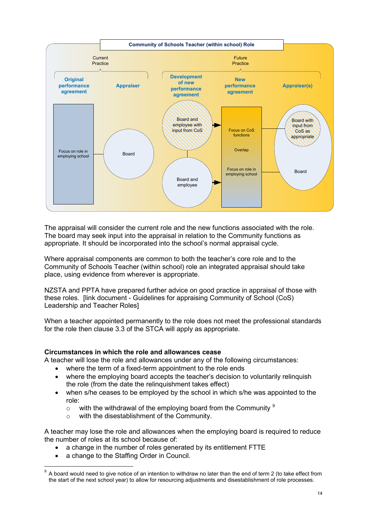

The appraisal will consider the current role and the new functions associated with the role. The board may seek input into the appraisal in relation to the Community functions as appropriate. It should be incorporated into the school's normal appraisal cycle.

Where appraisal components are common to both the teacher's core role and to the Community of Schools Teacher (within school) role an integrated appraisal should take place, using evidence from wherever is appropriate.

NZSTA and PPTA have prepared further advice on good practice in appraisal of those with these roles. [link document - Guidelines for appraising Community of School (CoS) Leadership and Teacher Roles]

When a teacher appointed permanently to the role does not meet the professional standards for the role then clause 3.3 of the STCA will apply as appropriate.

#### <span id="page-13-0"></span>**Circumstances in which the role and allowances cease**

A teacher will lose the role and allowances under any of the following circumstances:

- where the term of a fixed-term appointment to the role ends
- where the employing board accepts the teacher's decision to voluntarily relinquish the role (from the date the relinquishment takes effect)
- when s/he ceases to be employed by the school in which s/he was appointed to the role:
	- $\circ$  with the withdrawal of the employing board from the Community  $\frac{9}{2}$  $\frac{9}{2}$  $\frac{9}{2}$
	- o with the disestablishment of the Community.

A teacher may lose the role and allowances when the employing board is required to reduce the number of roles at its school because of:

- a change in the number of roles generated by its entitlement FTTE
- a change to the Staffing Order in Council.

<span id="page-13-1"></span> $9$  A board would need to give notice of an intention to withdraw no later than the end of term 2 (to take effect from the start of the next school year) to allow for resourcing adjustments and disestablishment of role processes. -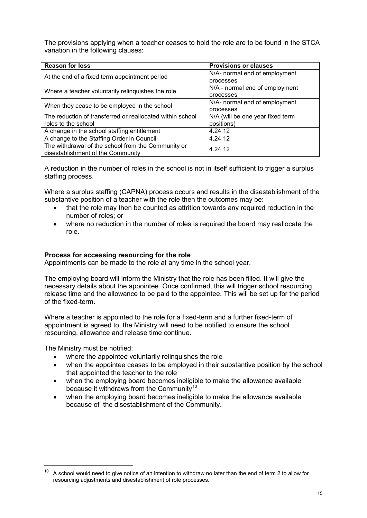The provisions applying when a teacher ceases to hold the role are to be found in the STCA variation in the following clauses:

| <b>Reason for loss</b>                                    | <b>Provisions or clauses</b>     |  |
|-----------------------------------------------------------|----------------------------------|--|
| At the end of a fixed term appointment period             | N/A- normal end of employment    |  |
|                                                           | processes                        |  |
| Where a teacher voluntarily relinguishes the role         | N/A - normal end of employment   |  |
|                                                           | processes                        |  |
| When they cease to be employed in the school              | N/A- normal end of employment    |  |
|                                                           | processes                        |  |
| The reduction of transferred or reallocated within school | N/A (will be one year fixed term |  |
| roles to the school                                       | positions)                       |  |
| A change in the school staffing entitlement               | 4.24.12                          |  |
| A change to the Staffing Order in Council                 | 4.24.12                          |  |
| The withdrawal of the school from the Community or        | 4.24.12                          |  |
| disestablishment of the Community                         |                                  |  |

A reduction in the number of roles in the school is not in itself sufficient to trigger a surplus staffing process.

Where a surplus staffing (CAPNA) process occurs and results in the disestablishment of the substantive position of a teacher with the role then the outcomes may be:

- that the role may then be counted as attrition towards any required reduction in the number of roles; or
- where no reduction in the number of roles is required the board may reallocate the role.

#### **Process for accessing resourcing for the role**

Appointments can be made to the role at any time in the school year.

The employing board will inform the Ministry that the role has been filled. It will give the necessary details about the appointee. Once confirmed, this will trigger school resourcing, release time and the allowance to be paid to the appointee. This will be set up for the period of the fixed-term.

Where a teacher is appointed to the role for a fixed-term and a further fixed-term of appointment is agreed to, the Ministry will need to be notified to ensure the school resourcing, allowance and release time continue.

The Ministry must be notified:

-

- where the appointee voluntarily relinquishes the role
- when the appointee ceases to be employed in their substantive position by the school that appointed the teacher to the role
- when the employing board becomes ineligible to make the allowance available because it withdraws from the Community<sup>[10](#page-14-0)</sup>
- when the employing board becomes ineligible to make the allowance available because of the disestablishment of the Community.

<span id="page-14-0"></span> $10$  A school would need to give notice of an intention to withdraw no later than the end of term 2 to allow for resourcing adjustments and disestablishment of role processes.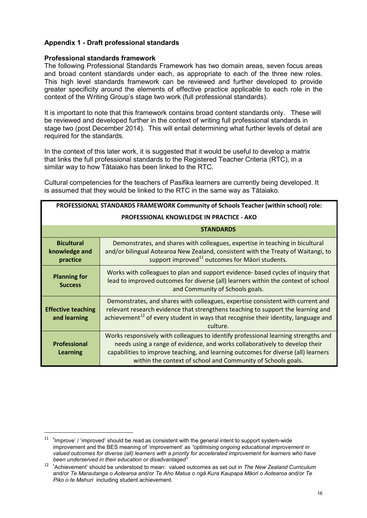## <span id="page-15-0"></span>**Appendix 1 - Draft professional standards**

#### **Professional standards framework**

-

The following Professional Standards Framework has two domain areas, seven focus areas and broad content standards under each, as appropriate to each of the three new roles. This high level standards framework can be reviewed and further developed to provide greater specificity around the elements of effective practice applicable to each role in the context of the Writing Group's stage two work (full professional standards).

It is important to note that this framework contains broad content standards only. These will be reviewed and developed further in the context of writing full professional standards in stage two (post December 2014). This will entail determining what further levels of detail are required for the standards.

In the context of this later work, it is suggested that it would be useful to develop a matrix that links the full professional standards to the Registered Teacher Criteria (RTC), in a similar way to how Tātaiako has been linked to the RTC.

Cultural competencies for the teachers of Pasifika learners are currently being developed. It is assumed that they would be linked to the RTC in the same way as Tātaiako.

| PROFESSIONAL STANDARDS FRAMEWORK Community of Schools Teacher (within school) role: |                                                                                                                                                                                                                                                                                                                         |  |
|-------------------------------------------------------------------------------------|-------------------------------------------------------------------------------------------------------------------------------------------------------------------------------------------------------------------------------------------------------------------------------------------------------------------------|--|
| <b>PROFESSIONAL KNOWLEDGE IN PRACTICE - AKO</b>                                     |                                                                                                                                                                                                                                                                                                                         |  |
|                                                                                     | <b>STANDARDS</b>                                                                                                                                                                                                                                                                                                        |  |
| <b>Bicultural</b><br>knowledge and<br>practice                                      | Demonstrates, and shares with colleagues, expertise in teaching in bicultural<br>and/or bilingual Aotearoa New Zealand, consistent with the Treaty of Waitangi, to<br>support improved <sup>11</sup> outcomes for Maori students.                                                                                       |  |
| <b>Planning for</b><br><b>Success</b>                                               | Works with colleagues to plan and support evidence- based cycles of inquiry that<br>lead to improved outcomes for diverse (all) learners within the context of school<br>and Community of Schools goals.                                                                                                                |  |
| <b>Effective teaching</b><br>and learning                                           | Demonstrates, and shares with colleagues, expertise consistent with current and<br>relevant research evidence that strengthens teaching to support the learning and<br>achievement <sup>12</sup> of every student in ways that recognise their identity, language and<br>culture.                                       |  |
| <b>Professional</b><br>Learning                                                     | Works responsively with colleagues to identify professional learning strengths and<br>needs using a range of evidence, and works collaboratively to develop their<br>capabilities to improve teaching, and learning outcomes for diverse (all) learners<br>within the context of school and Community of Schools goals. |  |

<span id="page-15-1"></span> $11$  'Improve' / 'improved' should be read as consistent with the general intent to support system-wide improvement and the BES meaning of 'improvement' as *"optimising ongoing educational improvement in valued outcomes for diverse (all) learners with a priority for accelerated improvement for learners who have been underserved in their education or disadvantaged"*

<span id="page-15-2"></span><sup>12 &#</sup>x27;Achievement' should be understood to mean: valued outcomes as set out in *The New Zealand Curriculum* and/or *Te Marautanga o Aotearoa* and/or *Te Aho Matua o ngā Kura Kaupapa Māori o Aotearoa* and/or *Te Piko o te Mahuri* including student achievement.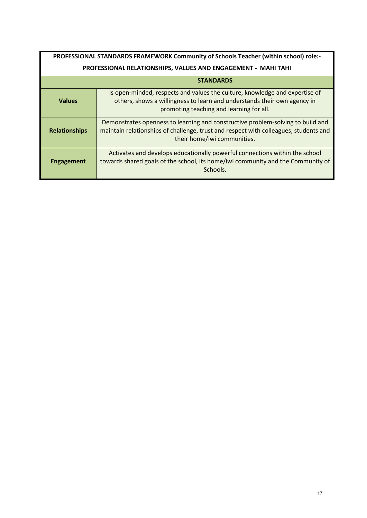| PROFESSIONAL STANDARDS FRAMEWORK Community of Schools Teacher (within school) role:- |                                                                                                                                                                                                        |  |
|--------------------------------------------------------------------------------------|--------------------------------------------------------------------------------------------------------------------------------------------------------------------------------------------------------|--|
| PROFESSIONAL RELATIONSHIPS, VALUES AND ENGAGEMENT - MAHI TAHI                        |                                                                                                                                                                                                        |  |
|                                                                                      | <b>STANDARDS</b>                                                                                                                                                                                       |  |
| <b>Values</b>                                                                        | Is open-minded, respects and values the culture, knowledge and expertise of<br>others, shows a willingness to learn and understands their own agency in<br>promoting teaching and learning for all.    |  |
| <b>Relationships</b>                                                                 | Demonstrates openness to learning and constructive problem-solving to build and<br>maintain relationships of challenge, trust and respect with colleagues, students and<br>their home/iwi communities. |  |
| <b>Engagement</b>                                                                    | Activates and develops educationally powerful connections within the school<br>towards shared goals of the school, its home/iwi community and the Community of<br>Schools.                             |  |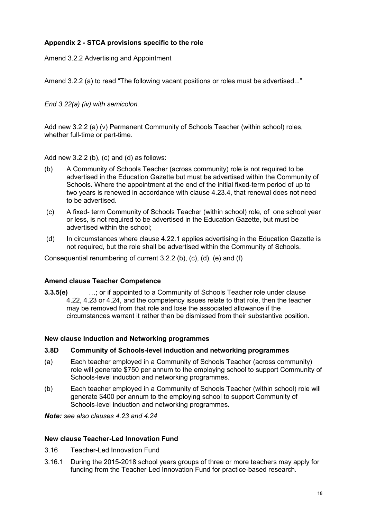## <span id="page-17-0"></span>**Appendix 2 - STCA provisions specific to the role**

Amend 3.2.2 Advertising and Appointment

Amend 3.2.2 (a) to read "The following vacant positions or roles must be advertised..."

*End 3.22(a) (iv) with semicolon.*

Add new 3.2.2 (a) (v) Permanent Community of Schools Teacher (within school) roles, whether full-time or part-time.

Add new  $3.2.2$  (b), (c) and (d) as follows:

- (b) A Community of Schools Teacher (across community) role is not required to be advertised in the Education Gazette but must be advertised within the Community of Schools. Where the appointment at the end of the initial fixed-term period of up to two years is renewed in accordance with clause 4.23.4, that renewal does not need to be advertised.
- (c) A fixed- term Community of Schools Teacher (within school) role, of one school year or less, is not required to be advertised in the Education Gazette, but must be advertised within the school;
- (d) In circumstances where clause 4.22.1 applies advertising in the Education Gazette is not required, but the role shall be advertised within the Community of Schools.

Consequential renumbering of current 3.2.2 (b), (c), (d), (e) and (f)

#### **Amend clause Teacher Competence**

**3.3.5(e)** …; or if appointed to a Community of Schools Teacher role under clause 4.22, 4.23 or 4.24, and the competency issues relate to that role, then the teacher may be removed from that role and lose the associated allowance if the circumstances warrant it rather than be dismissed from their substantive position.

#### **New clause Induction and Networking programmes**

#### **3.8D Community of Schools-level induction and networking programmes**

- (a) Each teacher employed in a Community of Schools Teacher (across community) role will generate \$750 per annum to the employing school to support Community of Schools-level induction and networking programmes.
- (b) Each teacher employed in a Community of Schools Teacher (within school) role will generate \$400 per annum to the employing school to support Community of Schools-level induction and networking programmes.

*Note: see also clauses 4.23 and 4.24*

#### **New clause Teacher-Led Innovation Fund**

- 3.16 Teacher-Led Innovation Fund
- 3.16.1 During the 2015-2018 school years groups of three or more teachers may apply for funding from the Teacher-Led Innovation Fund for practice-based research.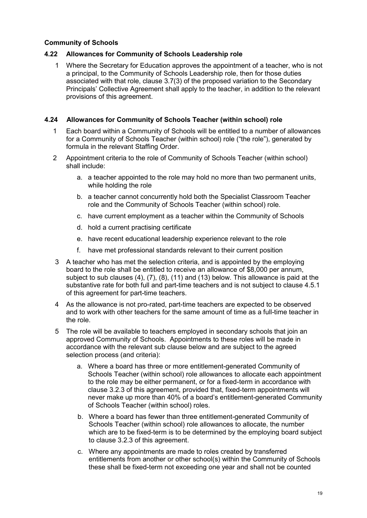## **Community of Schools**

## **4.22 Allowances for Community of Schools Leadership role**

1 Where the Secretary for Education approves the appointment of a teacher, who is not a principal, to the Community of Schools Leadership role, then for those duties associated with that role, clause 3.7(3) of the proposed variation to the Secondary Principals' Collective Agreement shall apply to the teacher, in addition to the relevant provisions of this agreement.

## **4.24 Allowances for Community of Schools Teacher (within school) role**

- 1 Each board within a Community of Schools will be entitled to a number of allowances for a Community of Schools Teacher (within school) role ("the role"), generated by formula in the relevant Staffing Order.
- 2 Appointment criteria to the role of Community of Schools Teacher (within school) shall include:
	- a. a teacher appointed to the role may hold no more than two permanent units, while holding the role
	- b. a teacher cannot concurrently hold both the Specialist Classroom Teacher role and the Community of Schools Teacher (within school) role.
	- c. have current employment as a teacher within the Community of Schools
	- d. hold a current practising certificate
	- e. have recent educational leadership experience relevant to the role
	- f. have met professional standards relevant to their current position
- 3 A teacher who has met the selection criteria, and is appointed by the employing board to the role shall be entitled to receive an allowance of \$8,000 per annum, subject to sub clauses (4), (7), (8), (11) and (13) below. This allowance is paid at the substantive rate for both full and part-time teachers and is not subject to clause 4.5.1 of this agreement for part-time teachers.
- 4 As the allowance is not pro-rated, part-time teachers are expected to be observed and to work with other teachers for the same amount of time as a full-time teacher in the role.
- 5 The role will be available to teachers employed in secondary schools that join an approved Community of Schools. Appointments to these roles will be made in accordance with the relevant sub clause below and are subject to the agreed selection process (and criteria):
	- a. Where a board has three or more entitlement-generated Community of Schools Teacher (within school) role allowances to allocate each appointment to the role may be either permanent, or for a fixed-term in accordance with clause 3.2.3 of this agreement, provided that, fixed-term appointments will never make up more than 40% of a board's entitlement-generated Community of Schools Teacher (within school) roles.
	- b. Where a board has fewer than three entitlement-generated Community of Schools Teacher (within school) role allowances to allocate, the number which are to be fixed-term is to be determined by the employing board subject to clause 3.2.3 of this agreement.
	- c. Where any appointments are made to roles created by transferred entitlements from another or other school(s) within the Community of Schools these shall be fixed-term not exceeding one year and shall not be counted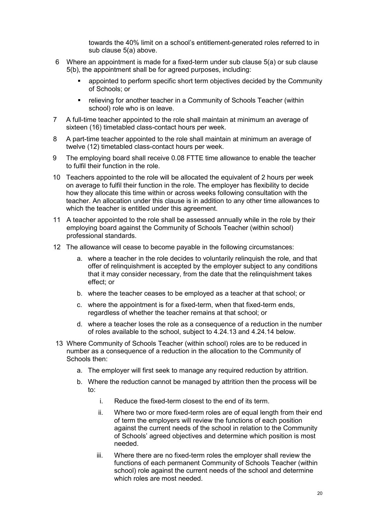towards the 40% limit on a school's entitlement-generated roles referred to in sub clause 5(a) above.

- 6 Where an appointment is made for a fixed-term under sub clause 5(a) or sub clause 5(b), the appointment shall be for agreed purposes, including:
	- appointed to perform specific short term objectives decided by the Community of Schools; or
	- relieving for another teacher in a Community of Schools Teacher (within school) role who is on leave.
- 7 A full-time teacher appointed to the role shall maintain at minimum an average of sixteen (16) timetabled class-contact hours per week.
- 8 A part-time teacher appointed to the role shall maintain at minimum an average of twelve (12) timetabled class-contact hours per week.
- 9 The employing board shall receive 0.08 FTTE time allowance to enable the teacher to fulfil their function in the role.
- 10 Teachers appointed to the role will be allocated the equivalent of 2 hours per week on average to fulfil their function in the role. The employer has flexibility to decide how they allocate this time within or across weeks following consultation with the teacher. An allocation under this clause is in addition to any other time allowances to which the teacher is entitled under this agreement.
- 11 A teacher appointed to the role shall be assessed annually while in the role by their employing board against the Community of Schools Teacher (within school) professional standards.
- 12 The allowance will cease to become payable in the following circumstances:
	- a. where a teacher in the role decides to voluntarily relinquish the role, and that offer of relinquishment is accepted by the employer subject to any conditions that it may consider necessary, from the date that the relinquishment takes effect; or
	- b. where the teacher ceases to be employed as a teacher at that school; or
	- c. where the appointment is for a fixed-term, when that fixed-term ends, regardless of whether the teacher remains at that school; or
	- d. where a teacher loses the role as a consequence of a reduction in the number of roles available to the school, subject to 4.24.13 and 4.24.14 below.
- 13 Where Community of Schools Teacher (within school) roles are to be reduced in number as a consequence of a reduction in the allocation to the Community of Schools then:
	- a. The employer will first seek to manage any required reduction by attrition.
	- b. Where the reduction cannot be managed by attrition then the process will be to:
		- i. Reduce the fixed-term closest to the end of its term.
		- ii. Where two or more fixed-term roles are of equal length from their end of term the employers will review the functions of each position against the current needs of the school in relation to the Community of Schools' agreed objectives and determine which position is most needed.
		- iii. Where there are no fixed-term roles the employer shall review the functions of each permanent Community of Schools Teacher (within school) role against the current needs of the school and determine which roles are most needed.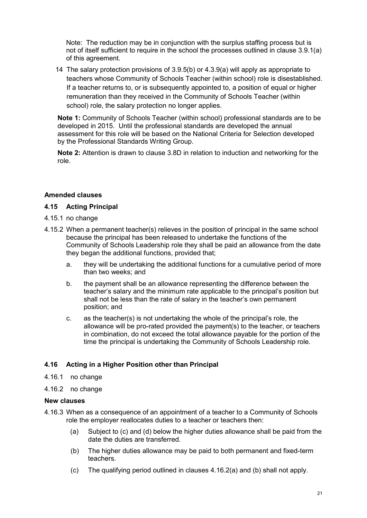Note: The reduction may be in conjunction with the surplus staffing process but is not of itself sufficient to require in the school the processes outlined in clause 3.9.1(a) of this agreement.

14 The salary protection provisions of 3.9.5(b) or 4.3.9(a) will apply as appropriate to teachers whose Community of Schools Teacher (within school) role is disestablished. If a teacher returns to, or is subsequently appointed to, a position of equal or higher remuneration than they received in the Community of Schools Teacher (within school) role, the salary protection no longer applies.

**Note 1:** Community of Schools Teacher (within school) professional standards are to be developed in 2015. Until the professional standards are developed the annual assessment for this role will be based on the National Criteria for Selection developed by the Professional Standards Writing Group.

**Note 2:** Attention is drawn to clause 3.8D in relation to induction and networking for the role.

## **Amended clauses**

#### **4.15 Acting Principal**

- 4.15.1 no change
- 4.15.2 When a permanent teacher(s) relieves in the position of principal in the same school because the principal has been released to undertake the functions of the Community of Schools Leadership role they shall be paid an allowance from the date they began the additional functions, provided that;
	- a. they will be undertaking the additional functions for a cumulative period of more than two weeks; and
	- b. the payment shall be an allowance representing the difference between the teacher's salary and the minimum rate applicable to the principal's position but shall not be less than the rate of salary in the teacher's own permanent position; and
	- c. as the teacher(s) is not undertaking the whole of the principal's role, the allowance will be pro-rated provided the payment(s) to the teacher, or teachers in combination, do not exceed the total allowance payable for the portion of the time the principal is undertaking the Community of Schools Leadership role.

#### **4.16 Acting in a Higher Position other than Principal**

- 4.16.1 no change
- 4.16.2 no change

#### **New clauses**

- 4.16.3 When as a consequence of an appointment of a teacher to a Community of Schools role the employer reallocates duties to a teacher or teachers then:
	- (a) Subject to (c) and (d) below the higher duties allowance shall be paid from the date the duties are transferred.
	- (b) The higher duties allowance may be paid to both permanent and fixed-term teachers.
	- (c) The qualifying period outlined in clauses 4.16.2(a) and (b) shall not apply.